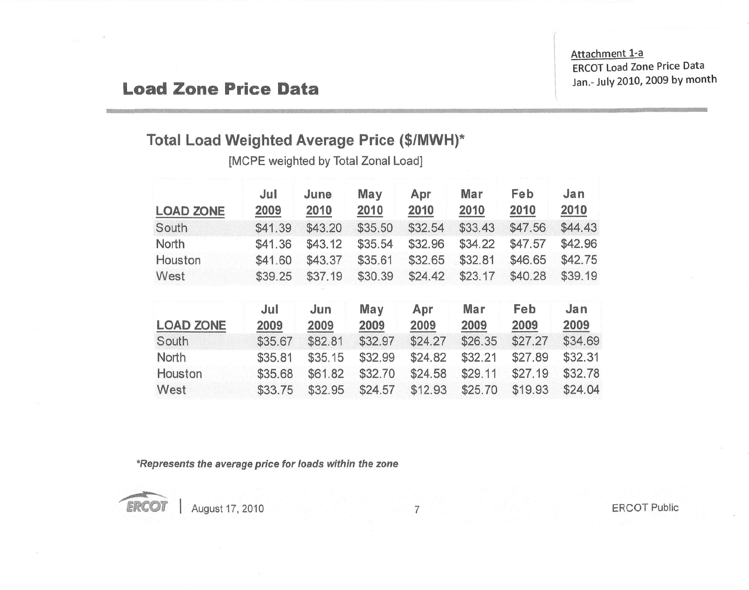Attachment 1-a ERCOT Load Zone Price Data Jan.- July 2010, 2009 by month

## **Load Zone Price Data**

## **Total Load Weighted Average Price (\$/MWH)\***

[MCPE weighted by Total Zonal Load]

| <b>LOAD ZONE</b> | Jul<br>2009 | June<br>2010 | May<br>2010 | Apr<br>2010 | Mar<br>2010 | Feb<br>2010 | Jan<br>2010 |
|------------------|-------------|--------------|-------------|-------------|-------------|-------------|-------------|
| South            | \$41.39     | \$43.20      | \$35.50     | \$32.54     | \$33.43     | \$47.56     | \$44.43     |
| North            | \$41.36     | \$43.12      | \$35.54     | \$32.96     | \$34.22     | \$47.57     | \$42.96     |
| Houston          | \$41.60     | \$43.37      | \$35.61     | \$32.65     | \$32.81     | \$46.65     | \$42.75     |
| West             | \$39.25     | \$37.19      | \$30.39     | \$24.42     | \$23.17     | \$40.28     | \$39.19     |
| <b>LOAD ZONE</b> | Jul<br>2009 | Jun<br>2009  | May<br>2009 | Apr<br>2009 | Mar<br>2009 | Feb<br>2009 | Jan<br>2009 |
| South            | \$35.67     | \$82.81      | \$32.97     | \$24.27     | \$26.35     | \$27.27     | \$34.69     |
| <b>North</b>     | \$35.81     | \$35.15      | \$32.99     | \$24.82     | \$32.21     | \$27.89     | \$32.31     |
| Houston          | \$35.68     | \$61.82      | \$32.70     | \$24.58     | \$29.11     | \$27.19     | \$32.78     |
| West             | \$33.75     | \$32.95      | \$24.57     | \$12.93     | \$25.70     | \$19.93     | \$24.04     |

*\*Represents the average price for loads within the* zone



**ERCOT** | August 17, 2010

7 ERCOT Public